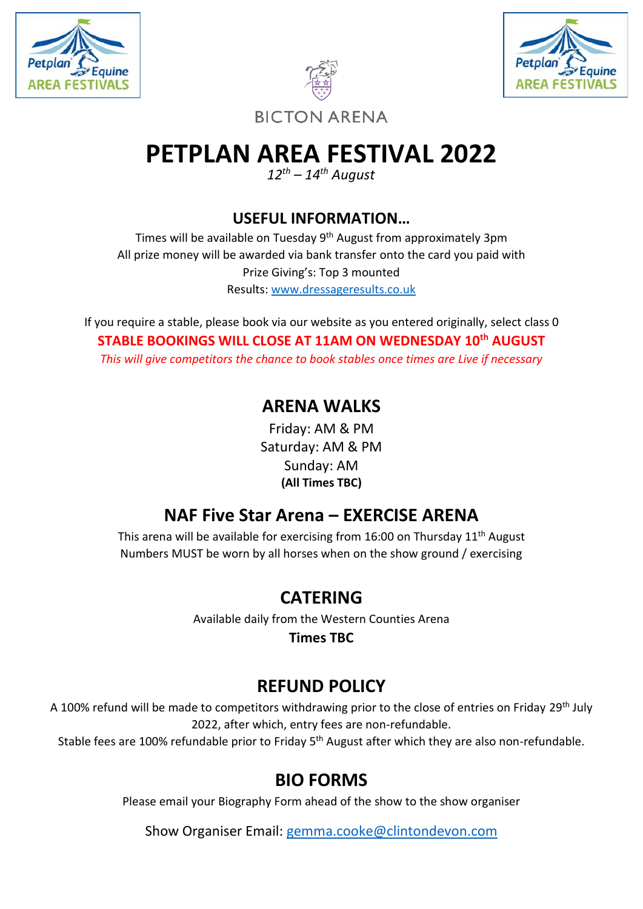





**BICTON ARENA** 

# **PETPLAN AREA FESTIVAL 2022**

*12th – 14th August*

**USEFUL INFORMATION…**

Times will be available on Tuesday 9<sup>th</sup> August from approximately 3pm All prize money will be awarded via bank transfer onto the card you paid with Prize Giving's: Top 3 mounted Results: [www.dressageresults.co.uk](http://www.dressageresults.co.uk/)

If you require a stable, please book via our website as you entered originally, select class 0 **STABLE BOOKINGS WILL CLOSE AT 11AM ON WEDNESDAY 10th AUGUST** *This will give competitors the chance to book stables once times are Live if necessary* 

## **ARENA WALKS**

Friday: AM & PM Saturday: AM & PM Sunday: AM **(All Times TBC)**

# **NAF Five Star Arena – EXERCISE ARENA**

This arena will be available for exercising from 16:00 on Thursday 11th August Numbers MUST be worn by all horses when on the show ground / exercising

# **CATERING**

Available daily from the Western Counties Arena

**Times TBC**

# **REFUND POLICY**

A 100% refund will be made to competitors withdrawing prior to the close of entries on Friday 29<sup>th</sup> July 2022, after which, entry fees are non-refundable.

Stable fees are 100% refundable prior to Friday 5<sup>th</sup> August after which they are also non-refundable.

# **BIO FORMS**

Please email your Biography Form ahead of the show to the show organiser

Show Organiser Email: [gemma.cooke@clintondevon.com](mailto:gemma.cooke@clintondevon.com)